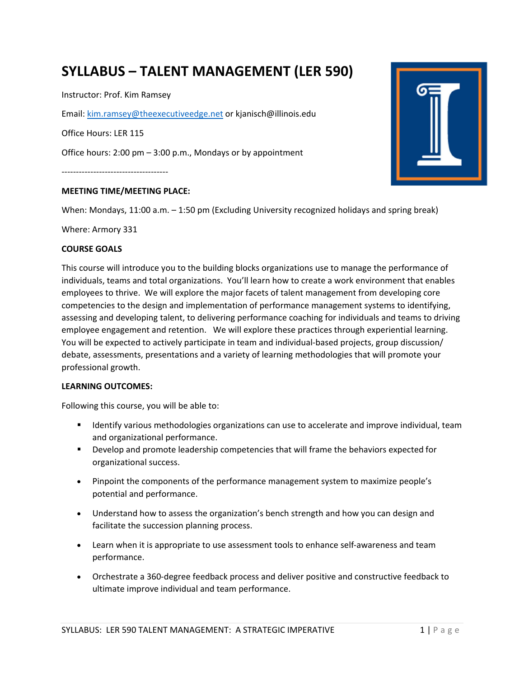# **SYLLABUS – TALENT MANAGEMENT (LER 590)**

Instructor: Prof. Kim Ramsey

Email: kim.ramsey@theexecutiveedge.net or kjanisch@illinois.edu

Office Hours: LER 115

Office hours: 2:00 pm – 3:00 p.m., Mondays or by appointment

-------------------------------------

#### **MEETING TIME/MEETING PLACE:**

When: Mondays, 11:00 a.m. – 1:50 pm (Excluding University recognized holidays and spring break)

Where: Armory 331

#### **COURSE GOALS**

This course will introduce you to the building blocks organizations use to manage the performance of individuals, teams and total organizations. You'll learn how to create a work environment that enables employees to thrive. We will explore the major facets of talent management from developing core competencies to the design and implementation of performance management systems to identifying, assessing and developing talent, to delivering performance coaching for individuals and teams to driving employee engagement and retention. We will explore these practices through experiential learning. You will be expected to actively participate in team and individual-based projects, group discussion/ debate, assessments, presentations and a variety of learning methodologies that will promote your professional growth.

#### **LEARNING OUTCOMES:**

Following this course, you will be able to:

- **If all identify various methodologies organizations can use to accelerate and improve individual, team** and organizational performance.
- Develop and promote leadership competencies that will frame the behaviors expected for organizational success.
- Pinpoint the components of the performance management system to maximize people's potential and performance.
- Understand how to assess the organization's bench strength and how you can design and facilitate the succession planning process.
- Learn when it is appropriate to use assessment tools to enhance self-awareness and team performance.
- Orchestrate a 360-degree feedback process and deliver positive and constructive feedback to ultimate improve individual and team performance.

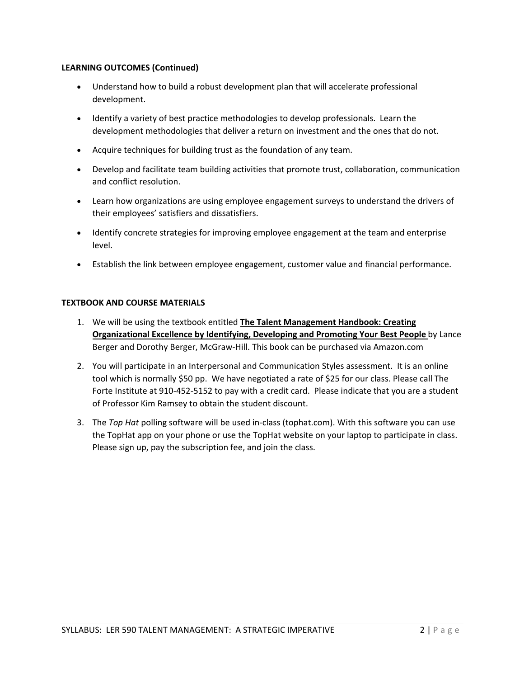## **LEARNING OUTCOMES (Continued)**

- Understand how to build a robust development plan that will accelerate professional development.
- Identify a variety of best practice methodologies to develop professionals. Learn the development methodologies that deliver a return on investment and the ones that do not.
- Acquire techniques for building trust as the foundation of any team.
- Develop and facilitate team building activities that promote trust, collaboration, communication and conflict resolution.
- Learn how organizations are using employee engagement surveys to understand the drivers of their employees' satisfiers and dissatisfiers.
- Identify concrete strategies for improving employee engagement at the team and enterprise level.
- Establish the link between employee engagement, customer value and financial performance.

## **TEXTBOOK AND COURSE MATERIALS**

- 1. We will be using the textbook entitled **The Talent Management Handbook: Creating Organizational Excellence by Identifying, Developing and Promoting Your Best People** by Lance Berger and Dorothy Berger, McGraw-Hill. This book can be purchased via Amazon.com
- 2. You will participate in an Interpersonal and Communication Styles assessment. It is an online tool which is normally \$50 pp. We have negotiated a rate of \$25 for our class. Please call The Forte Institute at 910-452-5152 to pay with a credit card. Please indicate that you are a student of Professor Kim Ramsey to obtain the student discount.
- 3. The *Top Hat* polling software will be used in-class (tophat.com). With this software you can use the TopHat app on your phone or use the TopHat website on your laptop to participate in class. Please sign up, pay the subscription fee, and join the class.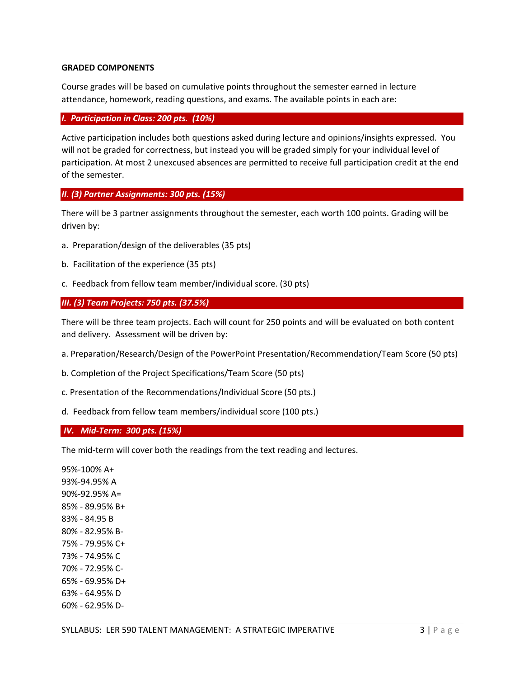#### **GRADED COMPONENTS**

Course grades will be based on cumulative points throughout the semester earned in lecture attendance, homework, reading questions, and exams. The available points in each are:

#### *I. Participation in Class: 200 pts. (10%)*

Active participation includes both questions asked during lecture and opinions/insights expressed. You will not be graded for correctness, but instead you will be graded simply for your individual level of participation. At most 2 unexcused absences are permitted to receive full participation credit at the end of the semester.

### *II. (3) Partner Assignments: 300 pts. (15%)*

There will be 3 partner assignments throughout the semester, each worth 100 points. Grading will be driven by:

- a. Preparation/design of the deliverables (35 pts)
- b. Facilitation of the experience (35 pts)
- c. Feedback from fellow team member/individual score. (30 pts)

### *III. (3) Team Projects: 750 pts. (37.5%)*

There will be three team projects. Each will count for 250 points and will be evaluated on both content and delivery. Assessment will be driven by:

- a. Preparation/Research/Design of the PowerPoint Presentation/Recommendation/Team Score (50 pts)
- b. Completion of the Project Specifications/Team Score (50 pts)
- c. Presentation of the Recommendations/Individual Score (50 pts.)
- d. Feedback from fellow team members/individual score (100 pts.)

### *IV. Mid-Term: 300 pts. (15%)*

The mid-term will cover both the readings from the text reading and lectures.

95%-100% A+ 93%-94.95% A 90%-92.95% A= 85% - 89.95% B+ 83% - 84.95 B 80% - 82.95% B-75% - 79.95% C+ 73% - 74.95% C 70% - 72.95% C-65% - 69.95% D+ 63% - 64.95% D 60% - 62.95% D-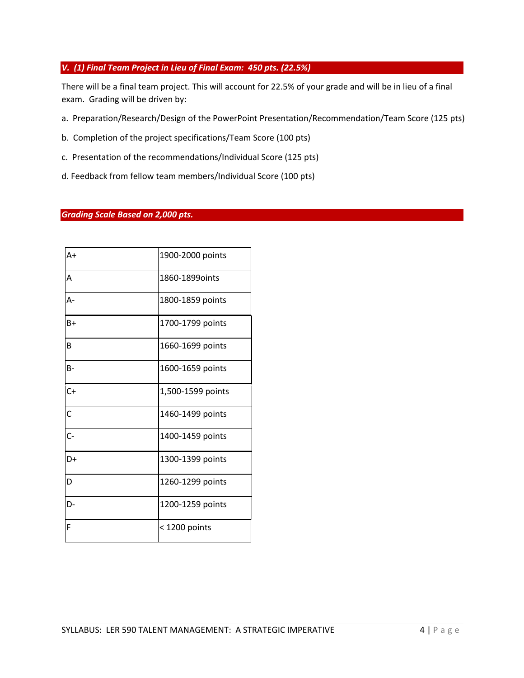## *V. (1) Final Team Project in Lieu of Final Exam: 450 pts. (22.5%)*

There will be a final team project. This will account for 22.5% of your grade and will be in lieu of a final exam. Grading will be driven by:

- a. Preparation/Research/Design of the PowerPoint Presentation/Recommendation/Team Score (125 pts)
- b. Completion of the project specifications/Team Score (100 pts)
- c. Presentation of the recommendations/Individual Score (125 pts)
- d. Feedback from fellow team members/Individual Score (100 pts)

### *Grading Scale Based on 2,000 pts.*

| $A+$           | 1900-2000 points  |
|----------------|-------------------|
| A              | 1860-1899oints    |
| А-             | 1800-1859 points  |
| $B+$           | 1700-1799 points  |
| B              | 1660-1699 points  |
| <b>B-</b>      | 1600-1659 points  |
| $C+$           | 1,500-1599 points |
| $\overline{C}$ | 1460-1499 points  |
| $C -$          | 1400-1459 points  |
| D+             | 1300-1399 points  |
| D              | 1260-1299 points  |
| D-             | 1200-1259 points  |
| F              | < 1200 points     |
|                |                   |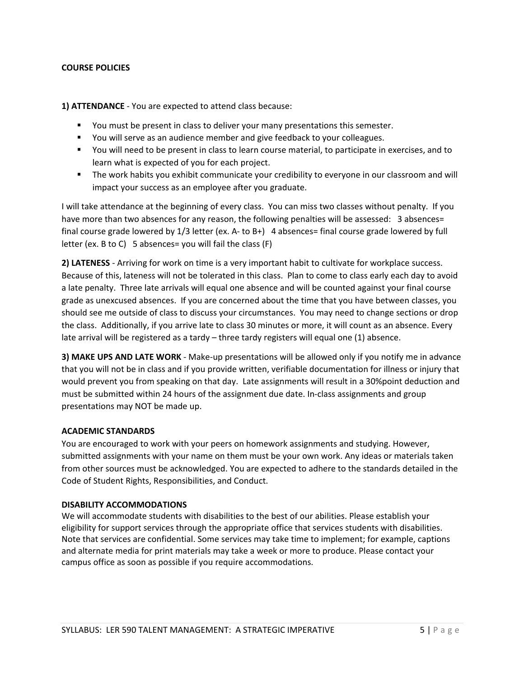### **COURSE POLICIES**

**1) ATTENDANCE** - You are expected to attend class because:

- You must be present in class to deliver your many presentations this semester.
- You will serve as an audience member and give feedback to your colleagues.
- You will need to be present in class to learn course material, to participate in exercises, and to learn what is expected of you for each project.
- The work habits you exhibit communicate your credibility to everyone in our classroom and will impact your success as an employee after you graduate.

I will take attendance at the beginning of every class. You can miss two classes without penalty. If you have more than two absences for any reason, the following penalties will be assessed: 3 absences= final course grade lowered by 1/3 letter (ex. A- to B+) 4 absences= final course grade lowered by full letter (ex. B to C) 5 absences= you will fail the class (F)

**2) LATENESS** - Arriving for work on time is a very important habit to cultivate for workplace success. Because of this, lateness will not be tolerated in this class. Plan to come to class early each day to avoid a late penalty. Three late arrivals will equal one absence and will be counted against your final course grade as unexcused absences. If you are concerned about the time that you have between classes, you should see me outside of class to discuss your circumstances. You may need to change sections or drop the class. Additionally, if you arrive late to class 30 minutes or more, it will count as an absence. Every late arrival will be registered as a tardy – three tardy registers will equal one (1) absence.

**3) MAKE UPS AND LATE WORK** - Make-up presentations will be allowed only if you notify me in advance that you will not be in class and if you provide written, verifiable documentation for illness or injury that would prevent you from speaking on that day. Late assignments will result in a 30%point deduction and must be submitted within 24 hours of the assignment due date. In-class assignments and group presentations may NOT be made up.

### **ACADEMIC STANDARDS**

You are encouraged to work with your peers on homework assignments and studying. However, submitted assignments with your name on them must be your own work. Any ideas or materials taken from other sources must be acknowledged. You are expected to adhere to the standards detailed in the Code of Student Rights, Responsibilities, and Conduct.

### **DISABILITY ACCOMMODATIONS**

We will accommodate students with disabilities to the best of our abilities. Please establish your eligibility for support services through the appropriate office that services students with disabilities. Note that services are confidential. Some services may take time to implement; for example, captions and alternate media for print materials may take a week or more to produce. Please contact your campus office as soon as possible if you require accommodations.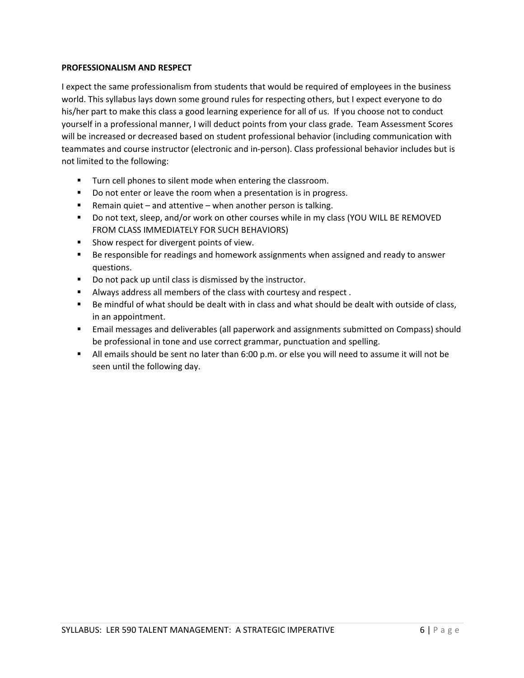### **PROFESSIONALISM AND RESPECT**

I expect the same professionalism from students that would be required of employees in the business world. This syllabus lays down some ground rules for respecting others, but I expect everyone to do his/her part to make this class a good learning experience for all of us. If you choose not to conduct yourself in a professional manner, I will deduct points from your class grade. Team Assessment Scores will be increased or decreased based on student professional behavior (including communication with teammates and course instructor (electronic and in-person). Class professional behavior includes but is not limited to the following:

- **Turn cell phones to silent mode when entering the classroom.**
- Do not enter or leave the room when a presentation is in progress.
- Remain quiet and attentive when another person is talking.
- Do not text, sleep, and/or work on other courses while in my class (YOU WILL BE REMOVED FROM CLASS IMMEDIATELY FOR SUCH BEHAVIORS)
- **Show respect for divergent points of view.**
- **Be responsible for readings and homework assignments when assigned and ready to answer** questions.
- Do not pack up until class is dismissed by the instructor.
- Always address all members of the class with courtesy and respect .
- Be mindful of what should be dealt with in class and what should be dealt with outside of class, in an appointment.
- Email messages and deliverables (all paperwork and assignments submitted on Compass) should be professional in tone and use correct grammar, punctuation and spelling.
- All emails should be sent no later than 6:00 p.m. or else you will need to assume it will not be seen until the following day.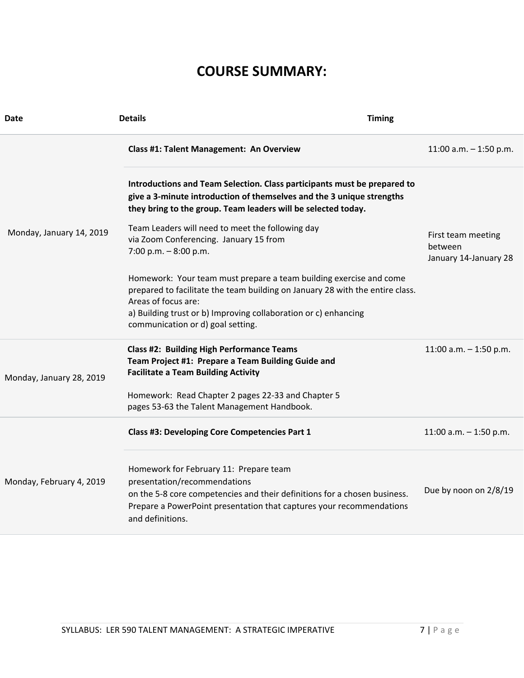# **COURSE SUMMARY:**

| <b>Date</b>              | <b>Details</b>                                                                                                                                                                                                                                                                     | <b>Timing</b>                                          |
|--------------------------|------------------------------------------------------------------------------------------------------------------------------------------------------------------------------------------------------------------------------------------------------------------------------------|--------------------------------------------------------|
|                          | Class #1: Talent Management: An Overview                                                                                                                                                                                                                                           | 11:00 a.m. $-$ 1:50 p.m.                               |
|                          | Introductions and Team Selection. Class participants must be prepared to<br>give a 3-minute introduction of themselves and the 3 unique strengths<br>they bring to the group. Team leaders will be selected today.                                                                 |                                                        |
| Monday, January 14, 2019 | Team Leaders will need to meet the following day<br>via Zoom Conferencing. January 15 from<br>7:00 p.m. $-8:00$ p.m.                                                                                                                                                               | First team meeting<br>between<br>January 14-January 28 |
|                          | Homework: Your team must prepare a team building exercise and come<br>prepared to facilitate the team building on January 28 with the entire class.<br>Areas of focus are:<br>a) Building trust or b) Improving collaboration or c) enhancing<br>communication or d) goal setting. |                                                        |
| Monday, January 28, 2019 | <b>Class #2: Building High Performance Teams</b><br>Team Project #1: Prepare a Team Building Guide and<br><b>Facilitate a Team Building Activity</b>                                                                                                                               | 11:00 a.m. $-$ 1:50 p.m.                               |
|                          | Homework: Read Chapter 2 pages 22-33 and Chapter 5<br>pages 53-63 the Talent Management Handbook.                                                                                                                                                                                  |                                                        |
|                          | Class #3: Developing Core Competencies Part 1                                                                                                                                                                                                                                      | 11:00 a.m. $-$ 1:50 p.m.                               |
| Monday, February 4, 2019 | Homework for February 11: Prepare team<br>presentation/recommendations<br>on the 5-8 core competencies and their definitions for a chosen business.<br>Prepare a PowerPoint presentation that captures your recommendations<br>and definitions.                                    | Due by noon on 2/8/19                                  |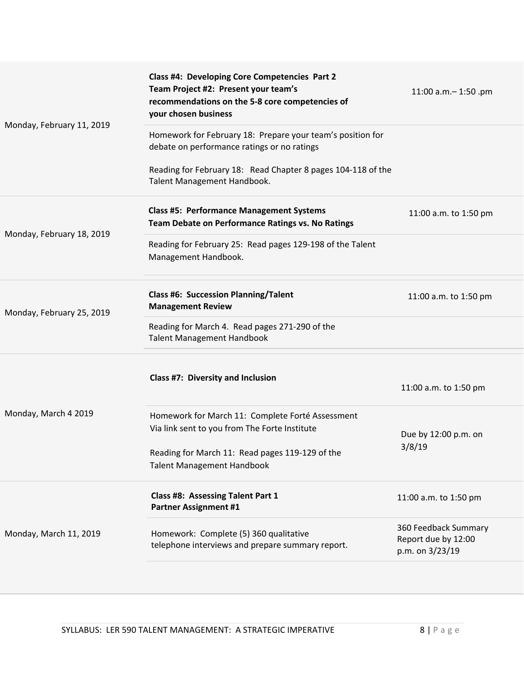|                           | Class #4: Developing Core Competencies Part 2<br>Team Project #2: Present your team's<br>recommendations on the 5-8 core competencies of<br>your chosen business                          | 11:00 a.m. - 1:50 .pm                                          |
|---------------------------|-------------------------------------------------------------------------------------------------------------------------------------------------------------------------------------------|----------------------------------------------------------------|
| Monday, February 11, 2019 | Homework for February 18: Prepare your team's position for<br>debate on performance ratings or no ratings                                                                                 |                                                                |
|                           | Reading for February 18: Read Chapter 8 pages 104-118 of the<br>Talent Management Handbook.                                                                                               |                                                                |
|                           | <b>Class #5: Performance Management Systems</b><br>Team Debate on Performance Ratings vs. No Ratings                                                                                      | 11:00 a.m. to 1:50 pm                                          |
| Monday, February 18, 2019 | Reading for February 25: Read pages 129-198 of the Talent<br>Management Handbook.                                                                                                         |                                                                |
| Monday, February 25, 2019 | <b>Class #6: Succession Planning/Talent</b><br><b>Management Review</b>                                                                                                                   | 11:00 a.m. to 1:50 pm                                          |
|                           | Reading for March 4. Read pages 271-290 of the<br><b>Talent Management Handbook</b>                                                                                                       |                                                                |
|                           | Class #7: Diversity and Inclusion                                                                                                                                                         | 11:00 a.m. to 1:50 pm                                          |
| Monday, March 4 2019      | Homework for March 11: Complete Forté Assessment<br>Via link sent to you from The Forte Institute<br>Reading for March 11: Read pages 119-129 of the<br><b>Talent Management Handbook</b> | Due by 12:00 p.m. on<br>3/8/19                                 |
|                           | <b>Class #8: Assessing Talent Part 1</b><br><b>Partner Assignment #1</b>                                                                                                                  | 11:00 a.m. to 1:50 pm                                          |
| Monday, March 11, 2019    | Homework: Complete (5) 360 qualitative<br>telephone interviews and prepare summary report.                                                                                                | 360 Feedback Summary<br>Report due by 12:00<br>p.m. on 3/23/19 |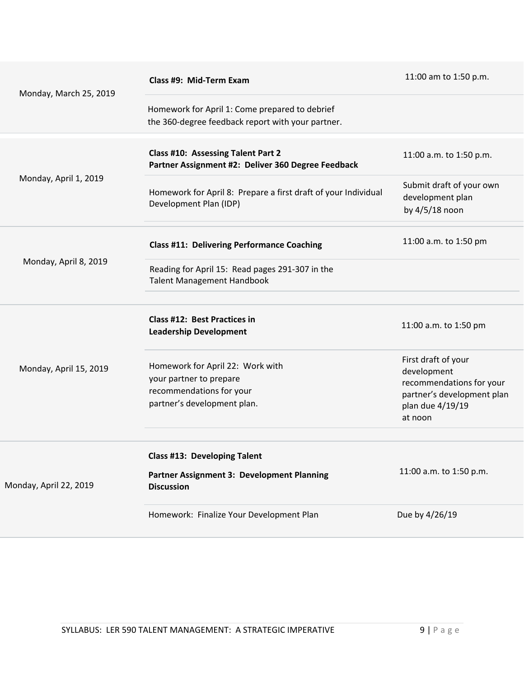| Monday, March 25, 2019 | Class #9: Mid-Term Exam                                                                                                | 11:00 am to 1:50 p.m.                                                                                                       |
|------------------------|------------------------------------------------------------------------------------------------------------------------|-----------------------------------------------------------------------------------------------------------------------------|
|                        | Homework for April 1: Come prepared to debrief<br>the 360-degree feedback report with your partner.                    |                                                                                                                             |
| Monday, April 1, 2019  | Class #10: Assessing Talent Part 2<br>Partner Assignment #2: Deliver 360 Degree Feedback                               | 11:00 a.m. to 1:50 p.m.                                                                                                     |
|                        | Homework for April 8: Prepare a first draft of your Individual<br>Development Plan (IDP)                               | Submit draft of your own<br>development plan<br>by 4/5/18 noon                                                              |
| Monday, April 8, 2019  | <b>Class #11: Delivering Performance Coaching</b>                                                                      | 11:00 a.m. to 1:50 pm                                                                                                       |
|                        | Reading for April 15: Read pages 291-307 in the<br><b>Talent Management Handbook</b>                                   |                                                                                                                             |
|                        |                                                                                                                        |                                                                                                                             |
| Monday, April 15, 2019 | Class #12: Best Practices in<br><b>Leadership Development</b>                                                          | 11:00 a.m. to 1:50 pm                                                                                                       |
|                        | Homework for April 22: Work with<br>your partner to prepare<br>recommendations for your<br>partner's development plan. | First draft of your<br>development<br>recommendations for your<br>partner's development plan<br>plan due 4/19/19<br>at noon |
|                        |                                                                                                                        |                                                                                                                             |
| Monday, April 22, 2019 | Class #13: Developing Talent                                                                                           |                                                                                                                             |
|                        | Partner Assignment 3: Development Planning<br><b>Discussion</b>                                                        | 11:00 a.m. to 1:50 p.m.                                                                                                     |
|                        | Homework: Finalize Your Development Plan                                                                               | Due by 4/26/19                                                                                                              |